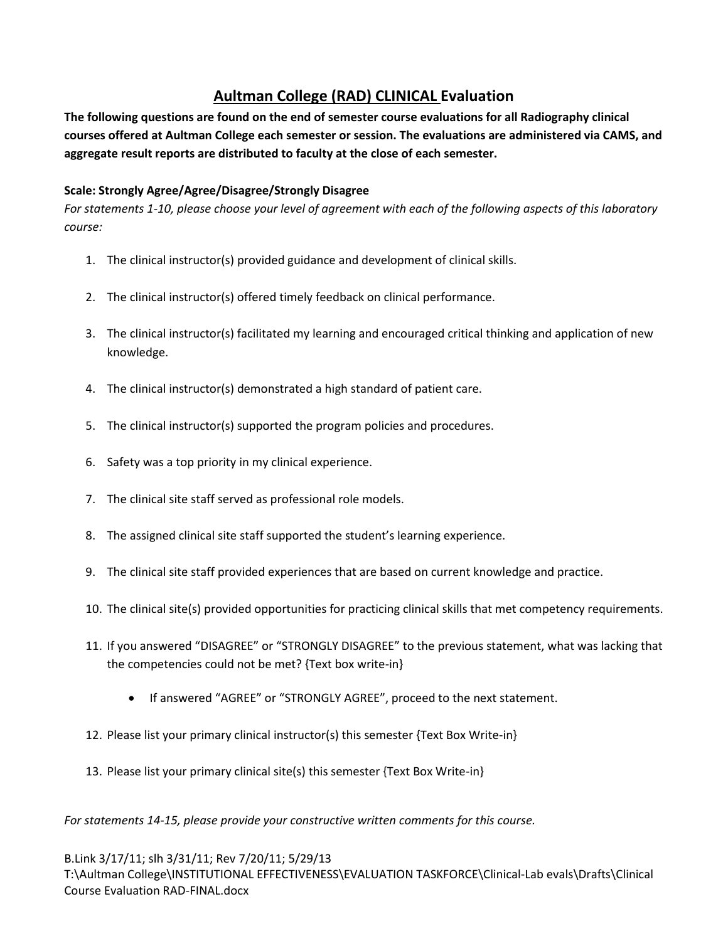## **Aultman College (RAD) CLINICAL Evaluation**

**The following questions are found on the end of semester course evaluations for all Radiography clinical courses offered at Aultman College each semester or session. The evaluations are administered via CAMS, and aggregate result reports are distributed to faculty at the close of each semester.**

## **Scale: Strongly Agree/Agree/Disagree/Strongly Disagree**

*For statements 1-10, please choose your level of agreement with each of the following aspects of this laboratory course:*

- 1. The clinical instructor(s) provided guidance and development of clinical skills.
- 2. The clinical instructor(s) offered timely feedback on clinical performance.
- 3. The clinical instructor(s) facilitated my learning and encouraged critical thinking and application of new knowledge.
- 4. The clinical instructor(s) demonstrated a high standard of patient care.
- 5. The clinical instructor(s) supported the program policies and procedures.
- 6. Safety was a top priority in my clinical experience.
- 7. The clinical site staff served as professional role models.
- 8. The assigned clinical site staff supported the student's learning experience.
- 9. The clinical site staff provided experiences that are based on current knowledge and practice.
- 10. The clinical site(s) provided opportunities for practicing clinical skills that met competency requirements.
- 11. If you answered "DISAGREE" or "STRONGLY DISAGREE" to the previous statement, what was lacking that the competencies could not be met? {Text box write-in}
	- If answered "AGREE" or "STRONGLY AGREE", proceed to the next statement.
- 12. Please list your primary clinical instructor(s) this semester {Text Box Write-in}
- 13. Please list your primary clinical site(s) this semester {Text Box Write-in}

*For statements 14-15, please provide your constructive written comments for this course.* 

B.Link 3/17/11; slh 3/31/11; Rev 7/20/11; 5/29/13 T:\Aultman College\INSTITUTIONAL EFFECTIVENESS\EVALUATION TASKFORCE\Clinical-Lab evals\Drafts\Clinical Course Evaluation RAD-FINAL.docx